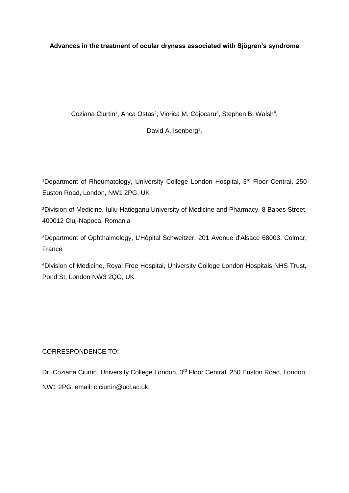**Advances in the treatment of ocular dryness associated with Sjögren's syndrome**

Coziana Ciurtin<sup>1</sup>, Anca Ostas<sup>2</sup>, Viorica M. Cojocaru<sup>3</sup>, Stephen B. Walsh<sup>4</sup>,

David A. Isenberg<sup>1</sup>,

<sup>1</sup>Department of Rheumatology, University College London Hospital, 3<sup>rd</sup> Floor Central, 250 Euston Road, London, NW1 2PG, UK

²Division of Medicine, Iuliu Hatieganu University of Medicine and Pharmacy, 8 Babes Street, 400012 Cluj-Napoca, Romania

³Department of Ophthalmology, L'Hôpital Schweitzer, 201 Avenue d'Alsace 68003, Colmar, France

<sup>4</sup>Division of Medicine, Royal Free Hospital, University College London Hospitals NHS Trust, Pond St, London NW3 2QG, UK

# CORRESPONDENCE TO:

Dr. Coziana Ciurtin, University College London, 3<sup>rd</sup> Floor Central, 250 Euston Road, London, NW1 2PG. email: c.ciurtin@ucl.ac.uk.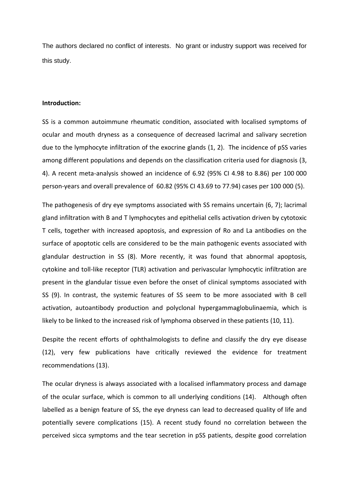The authors declared no conflict of interests. No grant or industry support was received for this study.

#### **Introduction:**

SS is a common autoimmune rheumatic condition, associated with localised symptoms of ocular and mouth dryness as a consequence of decreased lacrimal and salivary secretion due to the lymphocyte infiltration of the exocrine glands (1, 2). The incidence of pSS varies among different populations and depends on the classification criteria used for diagnosis (3, 4). A recent meta-analysis showed an incidence of 6.92 (95% CI 4.98 to 8.86) per 100 000 person-years and overall prevalence of 60.82 (95% CI 43.69 to 77.94) cases per 100 000 (5).

The pathogenesis of dry eye symptoms associated with SS remains uncertain (6, 7); lacrimal gland infiltration with B and T lymphocytes and epithelial cells activation driven by cytotoxic T cells, together with increased apoptosis, and expression of Ro and La antibodies on the surface of apoptotic cells are considered to be the main pathogenic events associated with glandular destruction in SS (8). More recently, it was found that abnormal apoptosis, cytokine and toll-like receptor (TLR) activation and perivascular lymphocytic infiltration are present in the glandular tissue even before the onset of clinical symptoms associated with SS (9). In contrast, the systemic features of SS seem to be more associated with B cell activation, autoantibody production and polyclonal hypergammaglobulinaemia, which is likely to be linked to the increased risk of lymphoma observed in these patients (10, 11).

Despite the recent efforts of ophthalmologists to define and classify the dry eye disease (12), very few publications have critically reviewed the evidence for treatment recommendations (13).

The ocular dryness is always associated with a localised inflammatory process and damage of the ocular surface, which is common to all underlying conditions (14). Although often labelled as a benign feature of SS, the eye dryness can lead to decreased quality of life and potentially severe complications (15). A recent study found no correlation between the perceived sicca symptoms and the tear secretion in pSS patients, despite good correlation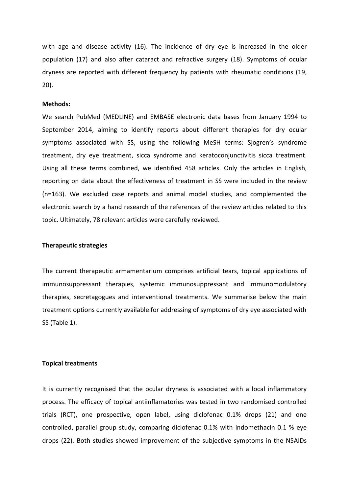with age and disease activity (16). The incidence of dry eye is increased in the older population (17) and also after cataract and refractive surgery (18). Symptoms of ocular dryness are reported with different frequency by patients with rheumatic conditions (19, 20).

### **Methods:**

We search PubMed (MEDLINE) and EMBASE electronic data bases from January 1994 to September 2014, aiming to identify reports about different therapies for dry ocular symptoms associated with SS, using the following MeSH terms: Sjogren's syndrome treatment, dry eye treatment, sicca syndrome and keratoconjunctivitis sicca treatment. Using all these terms combined, we identified 458 articles. Only the articles in English, reporting on data about the effectiveness of treatment in SS were included in the review (n=163). We excluded case reports and animal model studies, and complemented the electronic search by a hand research of the references of the review articles related to this topic. Ultimately, 78 relevant articles were carefully reviewed.

#### **Therapeutic strategies**

The current therapeutic armamentarium comprises artificial tears, topical applications of immunosuppressant therapies, systemic immunosuppressant and immunomodulatory therapies, secretagogues and interventional treatments. We summarise below the main treatment options currently available for addressing of symptoms of dry eye associated with SS (Table 1).

### **Topical treatments**

It is currently recognised that the ocular dryness is associated with a local inflammatory process. The efficacy of topical antiinflamatories was tested in two randomised controlled trials (RCT), one prospective, open label, using diclofenac 0.1% drops (21) and one controlled, parallel group study, comparing diclofenac 0.1% with indomethacin 0.1 % eye drops (22). Both studies showed improvement of the subjective symptoms in the NSAIDs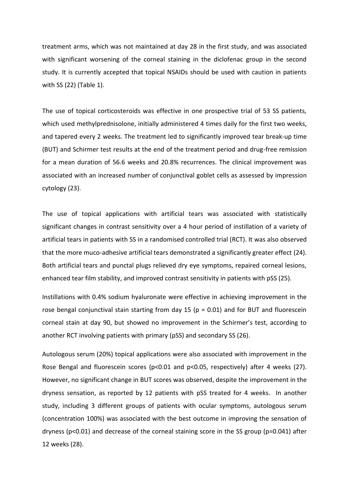treatment arms, which was not maintained at day 28 in the first study, and was associated with significant worsening of the corneal staining in the diclofenac group in the second study. It is currently accepted that topical NSAIDs should be used with caution in patients with SS (22) (Table 1).

The use of topical corticosteroids was effective in one prospective trial of 53 SS patients, which used methylprednisolone, initially administered 4 times daily for the first two weeks, and tapered every 2 weeks. The treatment led to significantly improved tear break-up time (BUT) and Schirmer test results at the end of the treatment period and drug-free remission for a mean duration of 56.6 weeks and 20.8% recurrences. The clinical improvement was associated with an increased number of conjunctival goblet cells as assessed by impression cytology (23).

The use of topical applications with artificial tears was associated with statistically significant changes in contrast sensitivity over a 4 hour period of instillation of a variety of artificial tears in patients with SS in a randomised controlled trial (RCT). It was also observed that the more muco-adhesive artificial tears demonstrated a significantly greater effect (24). Both artificial tears and punctal plugs relieved dry eye symptoms, repaired corneal lesions, enhanced tear film stability, and improved contrast sensitivity in patients with pSS (25).

Instillations with 0.4% sodium hyaluronate were effective in achieving improvement in the rose bengal conjunctival stain starting from day 15 ( $p = 0.01$ ) and for BUT and fluorescein corneal stain at day 90, but showed no improvement in the Schirmer's test, according to another RCT involving patients with primary (pSS) and secondary SS (26).

Autologous serum (20%) topical applications were also associated with improvement in the Rose Bengal and fluorescein scores (p<0.01 and p<0.05, respectively) after 4 weeks (27). However, no significant change in BUT scores was observed, despite the improvement in the dryness sensation, as reported by 12 patients with pSS treated for 4 weeks. In another study, including 3 different groups of patients with ocular symptoms, autologous serum (concentration 100%) was associated with the best outcome in improving the sensation of dryness (p<0.01) and decrease of the corneal staining score in the SS group (p=0.041) after 12 weeks (28).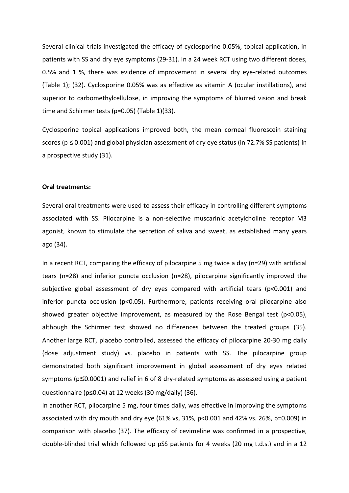Several clinical trials investigated the efficacy of cyclosporine 0.05%, topical application, in patients with SS and dry eye symptoms (29-31). In a 24 week RCT using two different doses, 0.5% and 1 %, there was evidence of improvement in several dry eye-related outcomes (Table 1); (32). Cyclosporine 0.05% was as effective as vitamin A (ocular instillations), and superior to carbomethylcellulose, in improving the symptoms of blurred vision and break time and Schirmer tests (p=0.05) (Table 1)(33).

Cyclosporine topical applications improved both, the mean corneal fluorescein staining scores ( $p \le 0.001$ ) and global physician assessment of dry eye status (in 72.7% SS patients) in a prospective study (31).

#### **Oral treatments:**

Several oral treatments were used to assess their efficacy in controlling different symptoms associated with SS. Pilocarpine is a non-selective [muscarinic acetylcholine receptor M3](http://en.wikipedia.org/wiki/Muscarinic_acetylcholine_receptor_M3) agonist, known to stimulate the secretion of saliva and sweat, as established many years ago (34).

In a recent RCT, comparing the efficacy of pilocarpine 5 mg twice a day (n=29) with artificial tears (n=28) and inferior puncta occlusion (n=28), pilocarpine significantly improved the subjective global assessment of dry eyes compared with artificial tears (p<0.001) and inferior puncta occlusion ( $p$ <0.05). Furthermore, patients receiving oral pilocarpine also showed greater objective improvement, as measured by the Rose Bengal test (p<0.05), although the Schirmer test showed no differences between the treated groups (35). Another large RCT, placebo controlled, assessed the efficacy of pilocarpine 20-30 mg daily (dose adjustment study) vs. placebo in patients with SS. The pilocarpine group demonstrated both significant improvement in global assessment of dry eyes related symptoms ( $p \le 0.0001$ ) and relief in 6 of 8 dry-related symptoms as assessed using a patient questionnaire (p≤0.04) at 12 weeks (30 mg/daily) (36).

In another RCT, pilocarpine 5 mg, four times daily, was effective in improving the symptoms associated with dry mouth and dry eye (61% vs, 31%, p<0.001 and 42% vs. 26%, p=0.009) in comparison with placebo (37). The efficacy of cevimeline was confirmed in a prospective, double-blinded trial which followed up pSS patients for 4 weeks (20 mg t.d.s.) and in a 12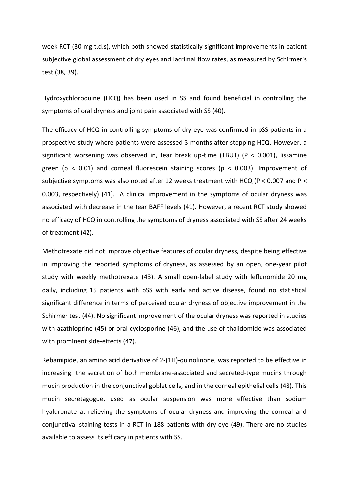week RCT (30 mg t.d.s), which both showed statistically significant improvements in patient subjective global assessment of dry eyes and lacrimal flow rates, as measured by Schirmer's test (38, 39).

Hydroxychloroquine (HCQ) has been used in SS and found beneficial in controlling the symptoms of oral dryness and joint pain associated with SS (40).

The efficacy of HCQ in controlling symptoms of dry eye was confirmed in pSS patients in a prospective study where patients were assessed 3 months after stopping HCQ. However, a significant worsening was observed in, tear break up-time (TBUT) (P < 0.001), lissamine green ( $p < 0.01$ ) and corneal fluorescein staining scores ( $p < 0.003$ ). Improvement of subjective symptoms was also noted after 12 weeks treatment with HCQ (P < 0.007 and P < 0.003, respectively) (41). A clinical improvement in the symptoms of ocular dryness was associated with decrease in the tear BAFF levels (41). However, a recent RCT study showed no efficacy of HCQ in controlling the symptoms of dryness associated with SS after 24 weeks of treatment (42).

Methotrexate did not improve objective features of ocular dryness, despite being effective in improving the reported symptoms of dryness, as assessed by an open, one-year pilot study with weekly methotrexate (43). A small open-label study with leflunomide 20 mg daily, including 15 patients with pSS with early and active disease, found no statistical significant difference in terms of perceived ocular dryness of objective improvement in the Schirmer test (44). No significant improvement of the ocular dryness was reported in studies with azathioprine (45) or oral cyclosporine (46), and the use of thalidomide was associated with prominent side-effects (47).

Rebamipide, an amino acid derivative of 2-(1H)-quinolinone, was reported to be effective in increasing the secretion of both membrane-associated and secreted-type mucins through mucin production in the conjunctival goblet cells, and in the corneal epithelial cells (48). This mucin secretagogue, used as ocular suspension was more effective than sodium hyaluronate at relieving the symptoms of ocular dryness and improving the corneal and conjunctival staining tests in a RCT in 188 patients with dry eye (49). There are no studies available to assess its efficacy in patients with SS.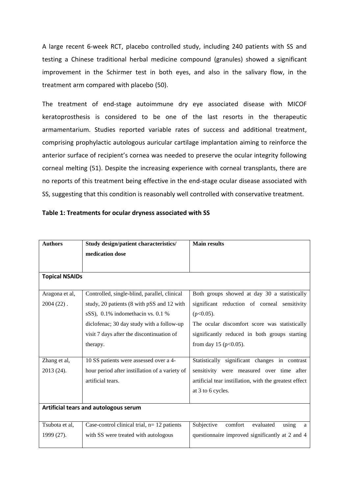A large recent 6-week RCT, placebo controlled study, including 240 patients with SS and testing a Chinese traditional herbal medicine compound (granules) showed a significant improvement in the Schirmer test in both eyes, and also in the salivary flow, in the treatment arm compared with placebo (50).

The treatment of end-stage autoimmune dry eye associated disease with MICOF keratoprosthesis is considered to be one of the last resorts in the therapeutic armamentarium. Studies reported variable rates of success and additional treatment, comprising prophylactic autologous auricular cartilage implantation aiming to reinforce the anterior surface of recipient's cornea was needed to preserve the ocular integrity following corneal melting (51). Despite the increasing experience with corneal transplants, there are no reports of this treatment being effective in the end-stage ocular disease associated with SS, suggesting that this condition is reasonably well controlled with conservative treatment.

|  | Table 1: Treatments for ocular dryness associated with SS |
|--|-----------------------------------------------------------|
|--|-----------------------------------------------------------|

| <b>Authors</b>                        | Study design/patient characteristics/          | <b>Main results</b>                                    |
|---------------------------------------|------------------------------------------------|--------------------------------------------------------|
|                                       | medication dose                                |                                                        |
|                                       |                                                |                                                        |
|                                       |                                                |                                                        |
| <b>Topical NSAIDs</b>                 |                                                |                                                        |
|                                       |                                                |                                                        |
| Aragona et al,                        | Controlled, single-blind, parallel, clinical   | Both groups showed at day 30 a statistically           |
| $2004(22)$ .                          | study, 20 patients (8 with pSS and 12 with     | significant reduction of corneal sensitivity           |
|                                       | sSS), 0.1% indomethacin vs. 0.1 %              | $(p<0.05)$ .                                           |
|                                       | diclofenac; 30 day study with a follow-up      | The ocular discomfort score was statistically          |
|                                       | visit 7 days after the discontinuation of      | significantly reduced in both groups starting          |
|                                       | therapy.                                       | from day 15 ( $p<0.05$ ).                              |
|                                       |                                                |                                                        |
| Zhang et al,                          | 10 SS patients were assessed over a 4-         | Statistically significant changes in contrast          |
| 2013 (24).                            | hour period after instillation of a variety of | sensitivity were measured over time after              |
|                                       | artificial tears.                              | artificial tear instillation, with the greatest effect |
|                                       |                                                | at 3 to 6 cycles.                                      |
|                                       |                                                |                                                        |
| Artificial tears and autologous serum |                                                |                                                        |
|                                       |                                                |                                                        |
| Tsubota et al,                        | Case-control clinical trial, $n=12$ patients   | Subjective<br>comfort<br>evaluated<br>using<br>a       |
| 1999 (27).                            | with SS were treated with autologous           | questionnaire improved significantly at 2 and 4        |
|                                       |                                                |                                                        |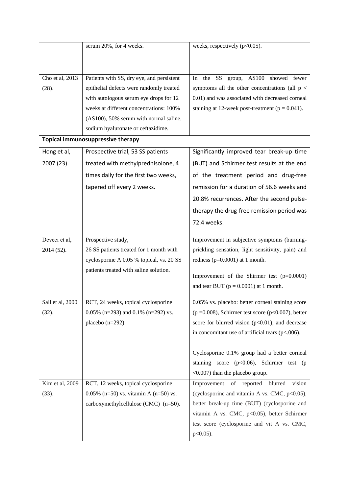|                  | serum 20%, for 4 weeks.                   | weeks, respectively $(p<0.05)$ .                                |
|------------------|-------------------------------------------|-----------------------------------------------------------------|
|                  |                                           |                                                                 |
|                  |                                           |                                                                 |
| Cho et al, 2013  | Patients with SS, dry eye, and persistent | AS100<br>the<br>SS <sub>1</sub><br>showed fewer<br>In<br>group, |
| (28).            | epithelial defects were randomly treated  | symptoms all the other concentrations (all $p <$                |
|                  | with autologous serum eye drops for 12    | 0.01) and was associated with decreased corneal                 |
|                  | weeks at different concentrations: 100%   | staining at 12-week post-treatment ( $p = 0.041$ ).             |
|                  | (AS100), 50% serum with normal saline,    |                                                                 |
|                  | sodium hyaluronate or ceftazidime.        |                                                                 |
|                  | Topical immunosuppressive therapy         |                                                                 |
| Hong et al,      | Prospective trial, 53 SS patients         | Significantly improved tear break-up time                       |
| 2007 (23).       | treated with methylprednisolone, 4        | (BUT) and Schirmer test results at the end                      |
|                  | times daily for the first two weeks,      | of the treatment period and drug-free                           |
|                  | tapered off every 2 weeks.                | remission for a duration of 56.6 weeks and                      |
|                  |                                           | 20.8% recurrences. After the second pulse-                      |
|                  |                                           | therapy the drug-free remission period was                      |
|                  |                                           |                                                                 |
|                  |                                           | 72.4 weeks.                                                     |
| Deveci et al,    | Prospective study,                        | Improvement in subjective symptoms (burning-                    |
| 2014 (52).       | 26 SS patients treated for 1 month with   | prickling sensation, light sensitivity, pain) and               |
|                  | cyclosporine A 0.05 % topical, vs. 20 SS  | redness ( $p=0.0001$ ) at 1 month.                              |
|                  | patients treated with saline solution.    |                                                                 |
|                  |                                           | Improvement of the Shirmer test $(p=0.0001)$                    |
|                  |                                           | and tear BUT ( $p = 0.0001$ ) at 1 month.                       |
| Sall et al, 2000 | RCT, 24 weeks, topical cyclosporine       | 0.05% vs. placebo: better corneal staining score                |
| (32).            | 0.05% (n=293) and 0.1% (n=292) vs.        | ( $p = 0.008$ ), Schirmer test score ( $p < 0.007$ ), better    |
|                  | placebo $(n=292)$ .                       | score for blurred vision ( $p<0.01$ ), and decrease             |
|                  |                                           | in concomitant use of artificial tears $(p<.006)$ .             |
|                  |                                           |                                                                 |
|                  |                                           | Cyclosporine 0.1% group had a better corneal                    |
|                  |                                           | staining score $(p<0.06)$ , Schirmer test (p                    |
|                  |                                           | <0.007) than the placebo group.                                 |
| Kim et al, 2009  | RCT, 12 weeks, topical cyclosporine       | vision<br>Improvement of reported blurred                       |
| (33).            | 0.05% (n=50) vs. vitamin A (n=50) vs.     | (cyclosporine and vitamin A vs. CMC, p<0.05),                   |
|                  | carboxymethylcellulose (CMC) (n=50).      | better break-up time (BUT) (cyclosporine and                    |
|                  |                                           | vitamin A vs. CMC, p<0.05), better Schirmer                     |
|                  |                                           | test score (cyclosporine and vit A vs. CMC,                     |
|                  |                                           | $p<0.05$ ).                                                     |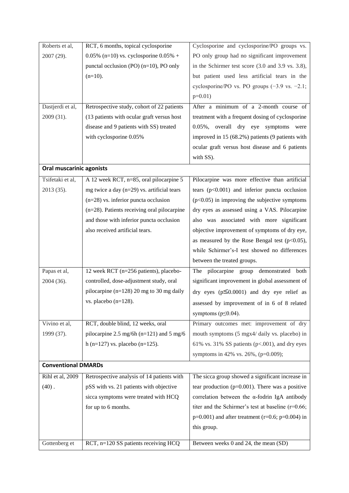| Roberts et al,             | RCT, 6 months, topical cyclosporine            | Cyclosporine and cyclosporine/PO groups vs.                            |
|----------------------------|------------------------------------------------|------------------------------------------------------------------------|
| 2007 (29).                 | 0.05% (n=10) vs. cyclosporine $0.05%$ +        | PO only group had no significant improvement                           |
|                            | punctal occlusion (PO) $(n=10)$ , PO only      | in the Schirmer test score $(3.0 \text{ and } 3.9 \text{ vs. } 3.8)$ , |
|                            | $(n=10)$ .                                     | but patient used less artificial tears in the                          |
|                            |                                                | cyclosporine/PO vs. PO groups $(-3.9 \text{ vs. } -2.1)$ ;             |
|                            |                                                | $p=0.01$ )                                                             |
| Dastjerdi et al,           | Retrospective study, cohort of 22 patients     | After a minimum of a 2-month course of                                 |
| 2009 (31).                 | (13 patients with ocular graft versus host     | treatment with a frequent dosing of cyclosporine                       |
|                            | disease and 9 patients with SS) treated        | overall dry eye symptoms were<br>$0.05\%$ .                            |
|                            | with cyclosporine 0.05%                        | improved in 15 (68.2%) patients (9 patients with                       |
|                            |                                                | ocular graft versus host disease and 6 patients                        |
|                            |                                                | with SS).                                                              |
| Oral muscarinic agonists   |                                                |                                                                        |
| Tsifetaki et al,           | A 12 week RCT, n=85, oral pilocarpine 5        | Pilocarpine was more effective than artificial                         |
| 2013 (35).                 | mg twice a day $(n=29)$ vs. artificial tears   | tears $(p<0.001)$ and inferior puncta occlusion                        |
|                            | $(n=28)$ vs. inferior puncta occlusion         | $(p<0.05)$ in improving the subjective symptoms                        |
|                            | $(n=28)$ . Patients receiving oral pilocarpine | dry eyes as assessed using a VAS. Pilocarpine                          |
|                            | and those with inferior puncta occlusion       | also was associated with more significant                              |
|                            | also received artificial tears.                | objective improvement of symptoms of dry eye,                          |
|                            |                                                | as measured by the Rose Bengal test $(p<0.05)$ ,                       |
|                            |                                                | while Schirmer's-I test showed no differences                          |
|                            |                                                | between the treated groups.                                            |
| Papas et al,               | 12 week RCT (n=256 patients), placebo-         | The pilocarpine group demonstrated<br>both                             |
| 2004 (36).                 | controlled, dose-adjustment study, oral        | significant improvement in global assessment of                        |
|                            | pilocarpine ( $n=128$ ) 20 mg to 30 mg daily   | dry eyes ( $p \le 0.0001$ ) and dry eye relief as                      |
|                            | vs. placebo $(n=128)$ .                        | assessed by improvement of in 6 of 8 related                           |
|                            |                                                | symptoms ( $p \le 0.04$ ).                                             |
| Vivino et al,              | RCT, double blind, 12 weeks, oral              | Primary outcomes met: improvement of dry                               |
| 1999 (37).                 | pilocarpine 2.5 mg/6h ( $n=121$ ) and 5 mg/6   | mouth symptoms (5 mgx4/ daily vs. placebo) in                          |
|                            | h (n=127) vs. placebo (n=125).                 | 61% vs. 31% SS patients ( $p<0.001$ ), and dry eyes                    |
|                            |                                                | symptoms in 42% vs. 26%, ( $p=0.009$ );                                |
| <b>Conventional DMARDs</b> |                                                |                                                                        |
| Rihl et al, 2009           | Retrospective analysis of 14 patients with     | The sicca group showed a significant increase in                       |
| $(40)$ .                   | pSS with vs. 21 patients with objective        | tear production ( $p=0.001$ ). There was a positive                    |
|                            | sicca symptoms were treated with HCQ           | correlation between the $\alpha$ -fodrin IgA antibody                  |
|                            | for up to 6 months.                            | titer and the Schirmer's test at baseline $(r=0.66)$ ;                 |
|                            |                                                | $p=0.001$ ) and after treatment (r=0.6; p=0.004) in                    |
|                            |                                                | this group.                                                            |
|                            |                                                |                                                                        |
| Gottenberg et              | RCT, n=120 SS patients receiving HCQ           | Between weeks 0 and 24, the mean (SD)                                  |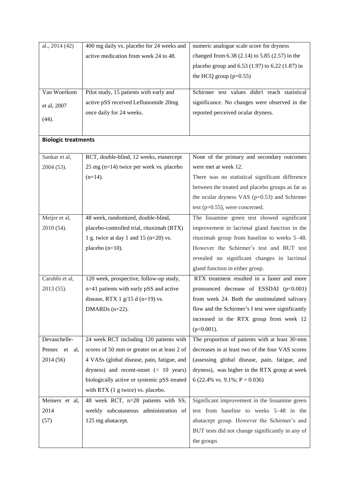| al., 2014 (42)             | 400 mg daily vs. placebo for 24 weeks and         | numeric analogue scale score for dryness          |
|----------------------------|---------------------------------------------------|---------------------------------------------------|
|                            | active medication from week 24 to 48.             | changed from 6.38 (2.14) to 5.85 (2.57) in the    |
|                            |                                                   | placebo group and 6.53 (1.97) to 6.22 (1.87) in   |
|                            |                                                   | the HCQ group $(p=0.55)$                          |
|                            |                                                   |                                                   |
| Van Woerkom                | Pilot study, 15 patients with early and           | Schirmer test values didn't reach statistical     |
| et al, 2007                | active pSS received Leflunomide 20mg              | significance. No changes were observed in the     |
|                            | once daily for 24 weeks.                          | reported perceived ocular dryness.                |
| (44).                      |                                                   |                                                   |
|                            |                                                   |                                                   |
| <b>Biologic treatments</b> |                                                   |                                                   |
| Sankar et al,              | RCT, double-blind, 12 weeks, etanercept           | None of the primary and secondary outcomes        |
| 2004 (53).                 | $25 \text{ mg}$ (n=14) twice per week vs. placebo | were met at week 12.                              |
|                            | $(n=14)$ .                                        | There was no statistical significant difference   |
|                            |                                                   | between the treated and placebo groups as far as  |
|                            |                                                   | the ocular dryness VAS ( $p=0.53$ ) and Schirmer  |
|                            |                                                   | test ( $p=0.55$ ), were concerned.                |
| Meijer et al,              | 48 week, randomized, double-blind,                | The lissamine green test showed significant       |
| 2010 (54).                 | placebo-controlled trial, rituximab (RTX)         | improvement in lacrimal gland function in the     |
|                            | 1 g. twice at day 1 and 15 ( $n=20$ ) vs.         | rituximab group from baseline to weeks 5–48.      |
|                            | placebo $(n=10)$ .                                | However the Schirmer's test and BUT test          |
|                            |                                                   | revealed no significant changes in lacrimal       |
|                            |                                                   | gland function in either group.                   |
| Carubbi et al,             | 120 week, prospective, follow-up study,           | RTX treatment resulted in a faster and more       |
| 2013 (55).                 | n=41 patients with early pSS and active           | pronounced decrease of ESSDAI $(p<0.001)$         |
|                            | disease, RTX 1 $g/15$ d (n=19) vs.                | from week 24. Both the unstimulated salivary      |
|                            | DMARDs $(n=22)$ .                                 | flow and the Schirmer's I test were significantly |
|                            |                                                   |                                                   |
|                            |                                                   | increased in the RTX group from week 12           |
|                            |                                                   | $(p<0.001)$ .                                     |
| Devauchelle-               | 24 week RCT including 120 patients with           | The proportion of patients with at least 30-mm    |
| Pensec et al,              | scores of 50 mm or greater on at least 2 of       | decreases in at least two of the four VAS scores  |
| 2014 (56)                  | 4 VASs (global disease, pain, fatigue, and        | (assessing global disease, pain, fatigue, and     |
|                            | dryness) and recent-onset $(10 years)$            | dryness), was higher in the RTX group at week     |
|                            | biologically active or systemic pSS treated       | 6 (22.4% vs. 9.1%; $P = 0.036$ )                  |
|                            | with RTX (1 g twice) vs. placebo.                 |                                                   |
| Meiners et al,             | 48 week RCT, n=28 patients with SS,               | Significant improvement in the lissamine green    |
| 2014                       | weekly subcutaneous administration of             | test from baseline to weeks 5-48 in the           |
| (57)                       | 125 mg abatacept.                                 | abatacept group. However the Schirmer's and       |
|                            |                                                   | BUT tests did not change significantly in any of  |
|                            |                                                   | the groups                                        |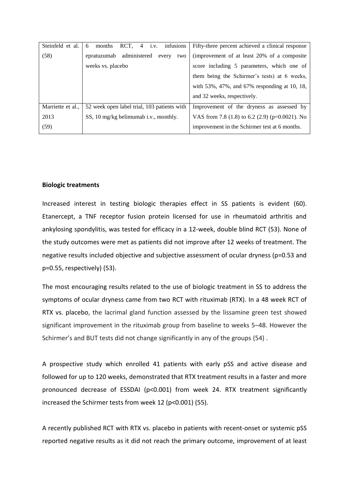| Steinfeld et al.  | $4 \quad \text{i.v.}$<br>infusions<br>RCT,<br>6<br>months | Fifty-three percent achieved a clinical response        |
|-------------------|-----------------------------------------------------------|---------------------------------------------------------|
| (58)              | epratuzumab administered<br>every<br>two                  | (improvement of at least 20% of a composite             |
|                   | weeks vs. placebo                                         | score including 5 parameters, which one of              |
|                   |                                                           | them being the Schirmer's tests) at 6 weeks,            |
|                   |                                                           | with $53\%$ , $47\%$ , and $67\%$ responding at 10, 18, |
|                   |                                                           | and 32 weeks, respectively.                             |
| Marriette et al., | 52 week open label trial, 103 patients with               | Improvement of the dryness as assessed by               |
| 2013              | SS, 10 mg/kg belimumab i.v., monthly.                     | VAS from 7.8 (1.8) to 6.2 (2.9) ( $p=0.0021$ ). No      |
| (59)              |                                                           | improvement in the Schirmer test at 6 months.           |

### **Biologic treatments**

Increased interest in testing biologic therapies effect in SS patients is evident (60). Etanercept, a TNF receptor fusion protein licensed for use in rheumatoid arthritis and ankylosing spondylitis, was tested for efficacy in a 12-week, double blind RCT (53). None of the study outcomes were met as patients did not improve after 12 weeks of treatment. The negative results included objective and subjective assessment of ocular dryness (p=0.53 and p=0.55, respectively) (53).

The most encouraging results related to the use of biologic treatment in SS to address the symptoms of ocular dryness came from two RCT with rituximab (RTX). In a 48 week RCT of RTX vs. placebo, the lacrimal gland function assessed by the lissamine green test showed significant improvement in the rituximab group from baseline to weeks 5–48. However the Schirmer's and BUT tests did not change significantly in any of the groups (54) .

A prospective study which enrolled 41 patients with early pSS and active disease and followed for up to 120 weeks, demonstrated that RTX treatment results in a faster and more pronounced decrease of ESSDAI (p<0.001) from week 24. RTX treatment significantly increased the Schirmer tests from week 12 (p<0.001) (55).

A recently published RCT with RTX vs. placebo in patients with recent-onset or systemic pSS reported negative results as it did not reach the primary outcome, improvement of at least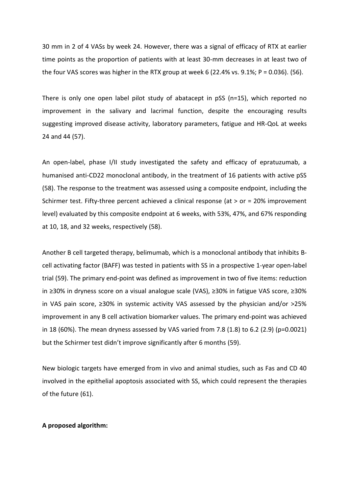30 mm in 2 of 4 VASs by week 24. However, there was a signal of efficacy of RTX at earlier time points as the proportion of patients with at least 30-mm decreases in at least two of the four VAS scores was higher in the RTX group at week 6 (22.4% vs. 9.1%;  $P = 0.036$ ). (56).

There is only one open label pilot study of abatacept in pSS (n=15), which reported no improvement in the salivary and lacrimal function, despite the encouraging results suggesting improved disease activity, laboratory parameters, fatigue and HR-QoL at weeks 24 and 44 (57).

An open-label, phase I/II study investigated the safety and efficacy of epratuzumab, a humanised anti-CD22 monoclonal antibody, in the treatment of 16 patients with active pSS (58). The response to the treatment was assessed using a composite endpoint, including the Schirmer test. Fifty-three percent achieved a clinical response (at > or = 20% improvement level) evaluated by this composite endpoint at 6 weeks, with 53%, 47%, and 67% responding at 10, 18, and 32 weeks, respectively (58).

Another B cell targeted therapy, belimumab, which is a monoclonal antibody that inhibits Bcell activating factor (BAFF) was tested in patients with SS in a prospective 1-year open-label trial (59). The primary end-point was defined as improvement in two of five items: reduction in ≥30% in dryness score on a visual analogue scale (VAS), ≥30% in fatigue VAS score, ≥30% in VAS pain score, ≥30% in systemic activity VAS assessed by the physician and/or >25% improvement in any B cell activation biomarker values. The primary end-point was achieved in 18 (60%). The mean dryness assessed by VAS varied from 7.8 (1.8) to 6.2 (2.9) (p=0.0021) but the Schirmer test didn't improve significantly after 6 months (59).

New biologic targets have emerged from in vivo and animal studies, such as Fas and CD 40 involved in the epithelial apoptosis associated with SS, which could represent the therapies of the future (61).

## **A proposed algorithm:**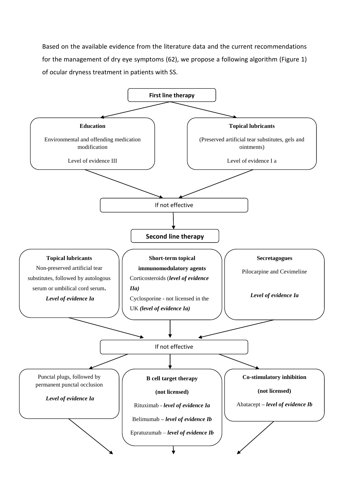Based on the available evidence from the literature data and the current recommendations for the management of dry eye symptoms (62), we propose a following algorithm (Figure 1) of ocular dryness treatment in patients with SS.

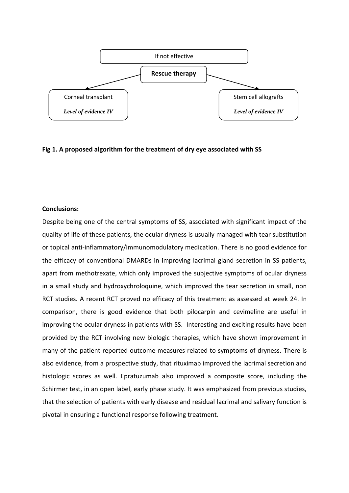

**Fig 1. A proposed algorithm for the treatment of dry eye associated with SS**

## **Conclusions:**

Despite being one of the central symptoms of SS, associated with significant impact of the quality of life of these patients, the ocular dryness is usually managed with tear substitution or topical anti-inflammatory/immunomodulatory medication. There is no good evidence for the efficacy of conventional DMARDs in improving lacrimal gland secretion in SS patients, apart from methotrexate, which only improved the subjective symptoms of ocular dryness in a small study and hydroxychroloquine, which improved the tear secretion in small, non RCT studies. A recent RCT proved no efficacy of this treatment as assessed at week 24. In comparison, there is good evidence that both pilocarpin and cevimeline are useful in improving the ocular dryness in patients with SS. Interesting and exciting results have been provided by the RCT involving new biologic therapies, which have shown improvement in many of the patient reported outcome measures related to symptoms of dryness. There is also evidence, from a prospective study, that rituximab improved the lacrimal secretion and histologic scores as well. Epratuzumab also improved a composite score, including the Schirmer test, in an open label, early phase study. It was emphasized from previous studies, that the selection of patients with early disease and residual lacrimal and salivary function is pivotal in ensuring a functional response following treatment.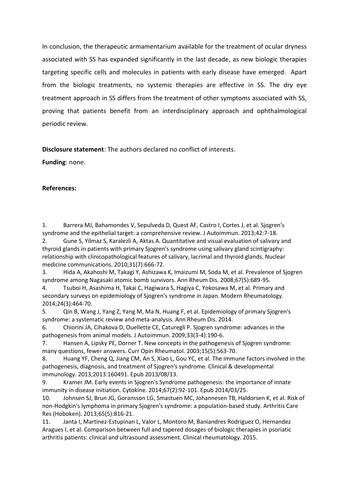In conclusion, the therapeutic armamentarium available for the treatment of ocular dryness associated with SS has expanded significantly in the last decade, as new biologic therapies targeting specific cells and molecules in patients with early disease have emerged. Apart from the biologic treatments, no systemic therapies are effective in SS. The dry eye treatment approach in SS differs from the treatment of other symptoms associated with SS, proving that patients benefit from an interdisciplinary approach and ophthalmological periodic review.

**Disclosure statement**: The authors declared no conflict of interests.

**Funding**: none.

## **References:**

1. Barrera MJ, Bahamondes V, Sepulveda D, Quest AF, Castro I, Cortes J, et al. Sjogren's syndrome and the epithelial target: a comprehensive review. J Autoimmun. 2013;42:7-18. 2. Gune S, Yilmaz S, Karalezli A, Aktas A. Quantitative and visual evaluation of salivary and

thyroid glands in patients with primary Sjogren's syndrome using salivary gland scintigraphy: relationship with clinicopathological features of salivary, lacrimal and thyroid glands. Nuclear medicine communications. 2010;31(7):666-72.

3. Hida A, Akahoshi M, Takagi Y, Ashizawa K, Imaizumi M, Soda M, et al. Prevalence of Sjogren syndrome among Nagasaki atomic bomb survivors. Ann Rheum Dis. 2008;67(5):689-95.

4. Tsuboi H, Asashima H, Takai C, Hagiwara S, Hagiya C, Yokosawa M, et al. Primary and secondary surveys on epidemiology of Sjogren's syndrome in Japan. Modern Rheumatology. 2014;24(3):464-70.

5. Qin B, Wang J, Yang Z, Yang M, Ma N, Huang F, et al. Epidemiology of primary Sjogren's syndrome: a systematic review and meta-analysis. Ann Rheum Dis. 2014.

6. Chiorini JA, Cihakova D, Ouellette CE, Caturegli P. Sjogren syndrome: advances in the pathogenesis from animal models. J Autoimmun. 2009;33(3-4):190-6.

7. Hansen A, Lipsky PE, Dorner T. New concepts in the pathogenesis of Sjogren syndrome: many questions, fewer answers. Curr Opin Rheumatol. 2003;15(5):563-70.

8. Huang YF, Cheng Q, Jiang CM, An S, Xiao L, Gou YC, et al. The immune factors involved in the pathogenesis, diagnosis, and treatment of Sjogren's syndrome. Clinical & developmental immunology. 2013;2013:160491. Epub 2013/08/13.

9. Kramer JM. Early events in Sjogren's Syndrome pathogenesis: the importance of innate immunity in disease initiation. Cytokine. 2014;67(2):92-101. Epub 2014/03/25.

10. Johnsen SJ, Brun JG, Goransson LG, Smastuen MC, Johannesen TB, Haldorsen K, et al. Risk of non-Hodgkin's lymphoma in primary Sjogren's syndrome: a population-based study. Arthritis Care Res (Hoboken). 2013;65(5):816-21.

11. Janta I, Martinez-Estupinan L, Valor L, Montoro M, Baniandres Rodriguez O, Hernandez Aragues I, et al. Comparison between full and tapered dosages of biologic therapies in psoriatic arthritis patients: clinical and ultrasound assessment. Clinical rheumatology. 2015.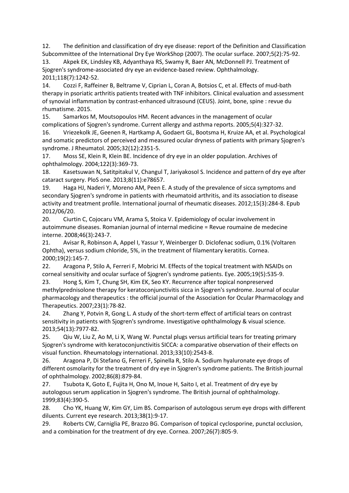12. The definition and classification of dry eye disease: report of the Definition and Classification Subcommittee of the International Dry Eye WorkShop (2007). The ocular surface. 2007;5(2):75-92.

13. Akpek EK, Lindsley KB, Adyanthaya RS, Swamy R, Baer AN, McDonnell PJ. Treatment of Sjogren's syndrome-associated dry eye an evidence-based review. Ophthalmology. 2011;118(7):1242-52.

14. Cozzi F, Raffeiner B, Beltrame V, Ciprian L, Coran A, Botsios C, et al. Effects of mud-bath therapy in psoriatic arthritis patients treated with TNF inhibitors. Clinical evaluation and assessment of synovial inflammation by contrast-enhanced ultrasound (CEUS). Joint, bone, spine : revue du rhumatisme. 2015.

15. Samarkos M, Moutsopoulos HM. Recent advances in the management of ocular complications of Sjogren's syndrome. Current allergy and asthma reports. 2005;5(4):327-32.

16. Vriezekolk JE, Geenen R, Hartkamp A, Godaert GL, Bootsma H, Kruize AA, et al. Psychological and somatic predictors of perceived and measured ocular dryness of patients with primary Sjogren's syndrome. J Rheumatol. 2005;32(12):2351-5.

17. Moss SE, Klein R, Klein BE. Incidence of dry eye in an older population. Archives of ophthalmology. 2004;122(3):369-73.

18. Kasetsuwan N, Satitpitakul V, Changul T, Jariyakosol S. Incidence and pattern of dry eye after cataract surgery. PloS one. 2013;8(11):e78657.

19. Haga HJ, Naderi Y, Moreno AM, Peen E. A study of the prevalence of sicca symptoms and secondary Sjogren's syndrome in patients with rheumatoid arthritis, and its association to disease activity and treatment profile. International journal of rheumatic diseases. 2012;15(3):284-8. Epub 2012/06/20.

20. Ciurtin C, Cojocaru VM, Arama S, Stoica V. Epidemiology of ocular involvement in autoimmune diseases. Romanian journal of internal medicine = Revue roumaine de medecine interne. 2008;46(3):243-7.

21. Avisar R, Robinson A, Appel I, Yassur Y, Weinberger D. Diclofenac sodium, 0.1% (Voltaren Ophtha), versus sodium chloride, 5%, in the treatment of filamentary keratitis. Cornea. 2000;19(2):145-7.

22. Aragona P, Stilo A, Ferreri F, Mobrici M. Effects of the topical treatment with NSAIDs on corneal sensitivity and ocular surface of Sjogren's syndrome patients. Eye. 2005;19(5):535-9.

23. Hong S, Kim T, Chung SH, Kim EK, Seo KY. Recurrence after topical nonpreserved methylprednisolone therapy for keratoconjunctivitis sicca in Sjogren's syndrome. Journal of ocular pharmacology and therapeutics : the official journal of the Association for Ocular Pharmacology and Therapeutics. 2007;23(1):78-82.

24. Zhang Y, Potvin R, Gong L. A study of the short-term effect of artificial tears on contrast sensitivity in patients with Sjogren's syndrome. Investigative ophthalmology & visual science. 2013;54(13):7977-82.

25. Qiu W, Liu Z, Ao M, Li X, Wang W. Punctal plugs versus artificial tears for treating primary Sjogren's syndrome with keratoconjunctivitis SICCA: a comparative observation of their effects on visual function. Rheumatology international. 2013;33(10):2543-8.

26. Aragona P, Di Stefano G, Ferreri F, Spinella R, Stilo A. Sodium hyaluronate eye drops of different osmolarity for the treatment of dry eye in Sjogren's syndrome patients. The British journal of ophthalmology. 2002;86(8):879-84.

27. Tsubota K, Goto E, Fujita H, Ono M, Inoue H, Saito I, et al. Treatment of dry eye by autologous serum application in Sjogren's syndrome. The British journal of ophthalmology. 1999;83(4):390-5.

28. Cho YK, Huang W, Kim GY, Lim BS. Comparison of autologous serum eye drops with different diluents. Current eye research. 2013;38(1):9-17.

29. Roberts CW, Carniglia PE, Brazzo BG. Comparison of topical cyclosporine, punctal occlusion, and a combination for the treatment of dry eye. Cornea. 2007;26(7):805-9.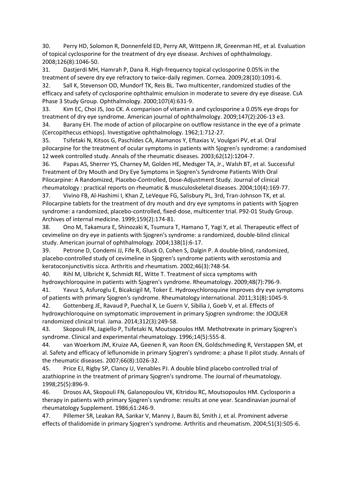30. Perry HD, Solomon R, Donnenfeld ED, Perry AR, Wittpenn JR, Greenman HE, et al. Evaluation of topical cyclosporine for the treatment of dry eye disease. Archives of ophthalmology. 2008;126(8):1046-50.

31. Dastjerdi MH, Hamrah P, Dana R. High-frequency topical cyclosporine 0.05% in the treatment of severe dry eye refractory to twice-daily regimen. Cornea. 2009;28(10):1091-6.

32. Sall K, Stevenson OD, Mundorf TK, Reis BL. Two multicenter, randomized studies of the efficacy and safety of cyclosporine ophthalmic emulsion in moderate to severe dry eye disease. CsA Phase 3 Study Group. Ophthalmology. 2000;107(4):631-9.

33. Kim EC, Choi JS, Joo CK. A comparison of vitamin a and cyclosporine a 0.05% eye drops for treatment of dry eye syndrome. American journal of ophthalmology. 2009;147(2):206-13 e3.

34. Barany EH. The mode of action of pilocarpine on outflow resistance in the eye of a primate (Cercopithecus ethiops). Investigative ophthalmology. 1962;1:712-27.

35. Tsifetaki N, Kitsos G, Paschides CA, Alamanos Y, Eftaxias V, Voulgari PV, et al. Oral pilocarpine for the treatment of ocular symptoms in patients with Sjogren's syndrome: a randomised 12 week controlled study. Annals of the rheumatic diseases. 2003;62(12):1204-7.

36. Papas AS, Sherrer YS, Charney M, Golden HE, Medsger TA, Jr., Walsh BT, et al. Successful Treatment of Dry Mouth and Dry Eye Symptoms in Sjogren's Syndrome Patients With Oral Pilocarpine: A Randomized, Placebo-Controlled, Dose-Adjustment Study. Journal of clinical rheumatology : practical reports on rheumatic & musculoskeletal diseases. 2004;10(4):169-77.

37. Vivino FB, Al-Hashimi I, Khan Z, LeVeque FG, Salisbury PL, 3rd, Tran-Johnson TK, et al. Pilocarpine tablets for the treatment of dry mouth and dry eye symptoms in patients with Sjogren syndrome: a randomized, placebo-controlled, fixed-dose, multicenter trial. P92-01 Study Group. Archives of internal medicine. 1999;159(2):174-81.

38. Ono M, Takamura E, Shinozaki K, Tsumura T, Hamano T, Yagi Y, et al. Therapeutic effect of cevimeline on dry eye in patients with Sjogren's syndrome: a randomized, double-blind clinical study. American journal of ophthalmology. 2004;138(1):6-17.

39. Petrone D, Condemi JJ, Fife R, Gluck O, Cohen S, Dalgin P. A double-blind, randomized, placebo-controlled study of cevimeline in Sjogren's syndrome patients with xerostomia and keratoconjunctivitis sicca. Arthritis and rheumatism. 2002;46(3):748-54.

40. Rihl M, Ulbricht K, Schmidt RE, Witte T. Treatment of sicca symptoms with hydroxychloroquine in patients with Sjogren's syndrome. Rheumatology. 2009;48(7):796-9.

41. Yavuz S, Asfuroglu E, Bicakcigil M, Toker E. Hydroxychloroquine improves dry eye symptoms of patients with primary Sjogren's syndrome. Rheumatology international. 2011;31(8):1045-9.

42. Gottenberg JE, Ravaud P, Puechal X, Le Guern V, Sibilia J, Goeb V, et al. Effects of hydroxychloroquine on symptomatic improvement in primary Sjogren syndrome: the JOQUER randomized clinical trial. Jama. 2014;312(3):249-58.

43. Skopouli FN, Jagiello P, Tsifetaki N, Moutsopoulos HM. Methotrexate in primary Sjogren's syndrome. Clinical and experimental rheumatology. 1996;14(5):555-8.

44. van Woerkom JM, Kruize AA, Geenen R, van Roon EN, Goldschmeding R, Verstappen SM, et al. Safety and efficacy of leflunomide in primary Sjogren's syndrome: a phase II pilot study. Annals of the rheumatic diseases. 2007;66(8):1026-32.

45. Price EJ, Rigby SP, Clancy U, Venables PJ. A double blind placebo controlled trial of azathioprine in the treatment of primary Sjogren's syndrome. The Journal of rheumatology. 1998;25(5):896-9.

46. Drosos AA, Skopouli FN, Galanopoulou VK, Kitridou RC, Moutsopoulos HM. Cyclosporin a therapy in patients with primary Sjogren's syndrome: results at one year. Scandinavian journal of rheumatology Supplement. 1986;61:246-9.

47. Pillemer SR, Leakan RA, Sankar V, Manny J, Baum BJ, Smith J, et al. Prominent adverse effects of thalidomide in primary Sjogren's syndrome. Arthritis and rheumatism. 2004;51(3):505-6.